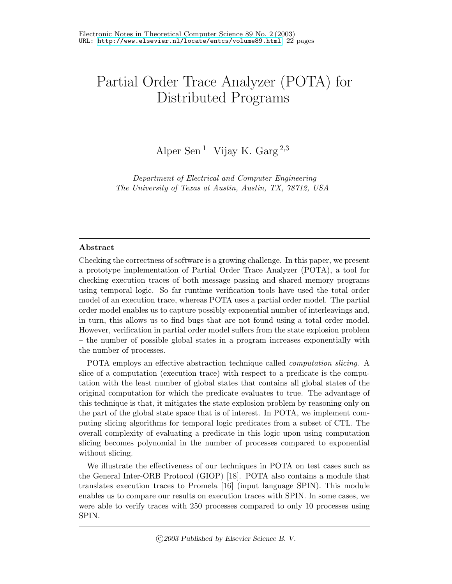# Partial Order Trace Analyzer (POTA) for Distributed Programs

Alper Sen<sup>1</sup> Vijay K. Garg<sup>2,3</sup>

Department of Electrical and Computer Engineering The University of Texas at Austin, Austin, TX, 78712, USA

#### Abstract

Checking the correctness of software is a growing challenge. In this paper, we present a prototype implementation of Partial Order Trace Analyzer (POTA), a tool for checking execution traces of both message passing and shared memory programs using temporal logic. So far runtime verification tools have used the total order model of an execution trace, whereas POTA uses a partial order model. The partial order model enables us to capture possibly exponential number of interleavings and, in turn, this allows us to find bugs that are not found using a total order model. However, verification in partial order model suffers from the state explosion problem – the number of possible global states in a program increases exponentially with the number of processes.

POTA employs an effective abstraction technique called computation slicing. A slice of a computation (execution trace) with respect to a predicate is the computation with the least number of global states that contains all global states of the original computation for which the predicate evaluates to true. The advantage of this technique is that, it mitigates the state explosion problem by reasoning only on the part of the global state space that is of interest. In POTA, we implement computing slicing algorithms for temporal logic predicates from a subset of CTL. The overall complexity of evaluating a predicate in this logic upon using computation slicing becomes polynomial in the number of processes compared to exponential without slicing.

We illustrate the effectiveness of our techniques in POTA on test cases such as the General Inter-ORB Protocol (GIOP) [18]. POTA also contains a module that translates execution traces to Promela [16] (input language SPIN). This module enables us to compare our results on execution traces with SPIN. In some cases, we were able to verify traces with 250 processes compared to only 10 processes using SPIN.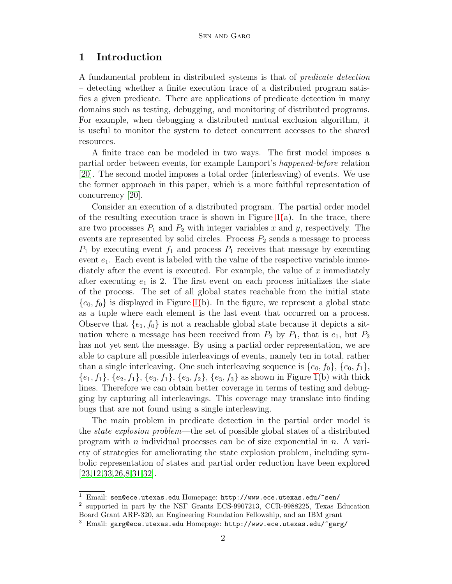## 1 Introduction

A fundamental problem in distributed systems is that of predicate detection – detecting whether a finite execution trace of a distributed program satisfies a given predicate. There are applications of predicate detection in many domains such as testing, debugging, and monitoring of distributed programs. For example, when debugging a distributed mutual exclusion algorithm, it is useful to monitor the system to detect concurrent accesses to the shared resources.

A finite trace can be modeled in two ways. The first model imposes a partial order between events, for example Lamport's happened-before relation [\[20\]](#page-20-0). The second model imposes a total order (interleaving) of events. We use the former approach in this paper, which is a more faithful representation of concurrency [\[20\]](#page-20-0).

Consider an execution of a distributed program. The partial order model of the resulting execution trace is shown in Figure  $1(a)$  $1(a)$ . In the trace, there are two processes  $P_1$  and  $P_2$  with integer variables x and y, respectively. The events are represented by solid circles. Process  $P_2$  sends a message to process  $P_1$  by executing event  $f_1$  and process  $P_1$  receives that message by executing event  $e_1$ . Each event is labeled with the value of the respective variable immediately after the event is executed. For example, the value of  $x$  immediately after executing  $e_1$  is 2. The first event on each process initializes the state of the process. The set of all global states reachable from the initial state  $\{e_0, f_0\}$  is displayed in Figure [1\(](#page-2-0)b). In the figure, we represent a global state as a tuple where each element is the last event that occurred on a process. Observe that  $\{e_1, f_0\}$  is not a reachable global state because it depicts a situation where a message has been received from  $P_2$  by  $P_1$ , that is  $e_1$ , but  $P_2$ has not yet sent the message. By using a partial order representation, we are able to capture all possible interleavings of events, namely ten in total, rather than a single interleaving. One such interleaving sequence is  $\{e_0, f_0\}$ ,  $\{e_0, f_1\}$ ,  ${e_1, f_1}, {e_2, f_1}, {e_3, f_1}, {e_3, f_2}, {e_3, f_3}$  as shown in Figure [1\(](#page-2-0)b) with thick lines. Therefore we can obtain better coverage in terms of testing and debugging by capturing all interleavings. This coverage may translate into finding bugs that are not found using a single interleaving.

The main problem in predicate detection in the partial order model is the state explosion problem—the set of possible global states of a distributed program with n individual processes can be of size exponential in  $n$ . A variety of strategies for ameliorating the state explosion problem, including symbolic representation of states and partial order reduction have been explored [\[23,](#page-20-1)[12,](#page-20-2)[33,](#page-21-0)[26,](#page-20-3)[8,](#page-19-0)[31,](#page-21-1)[32\]](#page-21-2).

 $1$  Email: sen@ece.utexas.edu Homepage: http://www.ece.utexas.edu/~sen/

<sup>2</sup> supported in part by the NSF Grants ECS-9907213, CCR-9988225, Texas Education Board Grant ARP-320, an Engineering Foundation Fellowship, and an IBM grant

 $3$  Email: garg@ece.utexas.edu Homepage: http://www.ece.utexas.edu/~garg/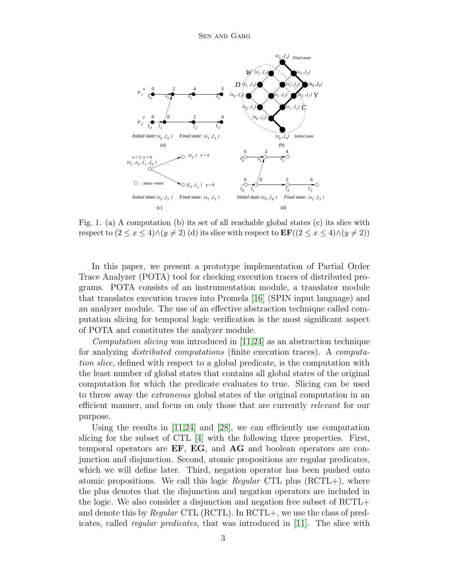

<span id="page-2-0"></span>Fig. 1. (a) A computation (b) its set of all reachable global states (c) its slice with respect to  $(2 \le x \le 4) \land (y \ne 2)$  (d) its slice with respect to  $\mathbf{EF}((2 \le x \le 4) \land (y \ne 2))$ 

In this paper, we present a prototype implementation of Partial Order Trace Analyzer (POTA) tool for checking execution traces of distributed programs. POTA consists of an instrumentation module, a translator module that translates execution traces into Promela [\[16\]](#page-20-4) (SPIN input language) and an analyzer module. The use of an effective abstraction technique called computation slicing for temporal logic verification is the most significant aspect of POTA and constitutes the analyzer module.

Computation slicing was introduced in [\[11](#page-19-1)[,24\]](#page-20-5) as an abstraction technique for analyzing distributed computations (finite execution traces). A computation slice, defined with respect to a global predicate, is the computation with the least number of global states that contains all global states of the original computation for which the predicate evaluates to true. Slicing can be used to throw away the extraneous global states of the original computation in an efficient manner, and focus on only those that are currently relevant for our purpose.

Using the results in  $[11,24]$  $[11,24]$  and  $[28]$ , we can efficiently use computation slicing for the subset of CTL [\[4\]](#page-19-2) with the following three properties. First, temporal operators are EF, EG, and AG and boolean operators are conjunction and disjunction. Second, atomic propositions are regular predicates, which we will define later. Third, negation operator has been pushed onto atomic propositions. We call this logic *Regular* CTL plus  $(RCTL+)$ , where the plus denotes that the disjunction and negation operators are included in the logic. We also consider a disjunction and negation free subset of RCTL+ and denote this by Regular CTL (RCTL). In RCTL+, we use the class of predicates, called regular predicates, that was introduced in [\[11\]](#page-19-1). The slice with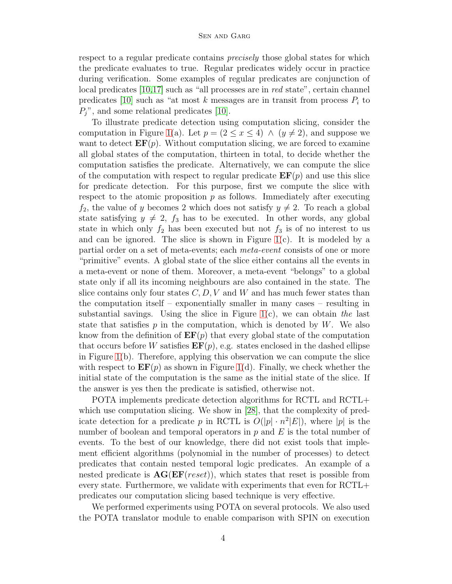respect to a regular predicate contains precisely those global states for which the predicate evaluates to true. Regular predicates widely occur in practice during verification. Some examples of regular predicates are conjunction of local predicates [\[10](#page-19-3)[,17\]](#page-20-6) such as "all processes are in red state", certain channel predicates [\[10\]](#page-19-3) such as "at most k messages are in transit from process  $P_i$  to  $P_j$ ", and some relational predicates [\[10\]](#page-19-3).

To illustrate predicate detection using computation slicing, consider the computation in Figure [1\(](#page-2-0)a). Let  $p = (2 \le x \le 4) \land (y \ne 2)$ , and suppose we want to detect  $\mathbf{EF}(p)$ . Without computation slicing, we are forced to examine all global states of the computation, thirteen in total, to decide whether the computation satisfies the predicate. Alternatively, we can compute the slice of the computation with respect to regular predicate  $\mathbf{EF}(p)$  and use this slice for predicate detection. For this purpose, first we compute the slice with respect to the atomic proposition  $p$  as follows. Immediately after executing  $f_2$ , the value of y becomes 2 which does not satisfy  $y \neq 2$ . To reach a global state satisfying  $y \neq 2$ ,  $f_3$  has to be executed. In other words, any global state in which only  $f_2$  has been executed but not  $f_3$  is of no interest to us and can be ignored. The slice is shown in Figure  $1(c)$  $1(c)$ . It is modeled by a partial order on a set of meta-events; each meta-event consists of one or more "primitive" events. A global state of the slice either contains all the events in a meta-event or none of them. Moreover, a meta-event "belongs" to a global state only if all its incoming neighbours are also contained in the state. The slice contains only four states  $C, D, V$  and W and has much fewer states than the computation itself – exponentially smaller in many cases – resulting in substantial savings. Using the slice in Figure  $1(c)$  $1(c)$ , we can obtain the last state that satisfies  $p$  in the computation, which is denoted by  $W$ . We also know from the definition of  $\mathbf{EF}(p)$  that every global state of the computation that occurs before W satisfies  $\mathbf{EF}(p)$ , e.g. states enclosed in the dashed ellipse in Figure [1\(](#page-2-0)b). Therefore, applying this observation we can compute the slice with respect to  $\mathbf{EF}(p)$  as shown in Figure [1\(](#page-2-0)d). Finally, we check whether the initial state of the computation is the same as the initial state of the slice. If the answer is yes then the predicate is satisfied, otherwise not.

POTA implements predicate detection algorithms for RCTL and RCTL+ which use computation slicing. We show in [\[28\]](#page-21-3), that the complexity of predicate detection for a predicate p in RCTL is  $O(|p| \cdot n^2 |E|)$ , where |p| is the number of boolean and temporal operators in  $p$  and  $E$  is the total number of events. To the best of our knowledge, there did not exist tools that implement efficient algorithms (polynomial in the number of processes) to detect predicates that contain nested temporal logic predicates. An example of a nested predicate is  $AG(EF(reset))$ , which states that reset is possible from every state. Furthermore, we validate with experiments that even for RCTL+ predicates our computation slicing based technique is very effective.

We performed experiments using POTA on several protocols. We also used the POTA translator module to enable comparison with SPIN on execution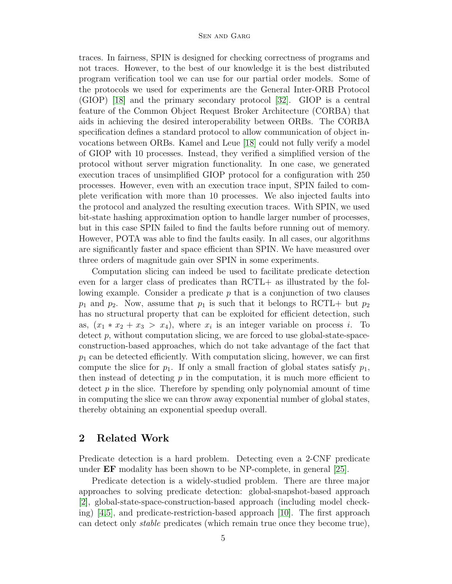traces. In fairness, SPIN is designed for checking correctness of programs and not traces. However, to the best of our knowledge it is the best distributed program verification tool we can use for our partial order models. Some of the protocols we used for experiments are the General Inter-ORB Protocol (GIOP) [\[18\]](#page-20-7) and the primary secondary protocol [\[32\]](#page-21-2). GIOP is a central feature of the Common Object Request Broker Architecture (CORBA) that aids in achieving the desired interoperability between ORBs. The CORBA specification defines a standard protocol to allow communication of object invocations between ORBs. Kamel and Leue [\[18\]](#page-20-7) could not fully verify a model of GIOP with 10 processes. Instead, they verified a simplified version of the protocol without server migration functionality. In one case, we generated execution traces of unsimplified GIOP protocol for a configuration with 250 processes. However, even with an execution trace input, SPIN failed to complete verification with more than 10 processes. We also injected faults into the protocol and analyzed the resulting execution traces. With SPIN, we used bit-state hashing approximation option to handle larger number of processes, but in this case SPIN failed to find the faults before running out of memory. However, POTA was able to find the faults easily. In all cases, our algorithms are significantly faster and space efficient than SPIN. We have measured over three orders of magnitude gain over SPIN in some experiments.

Computation slicing can indeed be used to facilitate predicate detection even for a larger class of predicates than RCTL+ as illustrated by the following example. Consider a predicate  $p$  that is a conjunction of two clauses  $p_1$  and  $p_2$ . Now, assume that  $p_1$  is such that it belongs to RCTL+ but  $p_2$ has no structural property that can be exploited for efficient detection, such as,  $(x_1 * x_2 + x_3 > x_4)$ , where  $x_i$  is an integer variable on process *i*. To  $\det$  p, without computation slicing, we are forced to use global-state-spaceconstruction-based approaches, which do not take advantage of the fact that  $p_1$  can be detected efficiently. With computation slicing, however, we can first compute the slice for  $p_1$ . If only a small fraction of global states satisfy  $p_1$ , then instead of detecting  $p$  in the computation, it is much more efficient to detect  $p$  in the slice. Therefore by spending only polynomial amount of time in computing the slice we can throw away exponential number of global states, thereby obtaining an exponential speedup overall.

### 2 Related Work

Predicate detection is a hard problem. Detecting even a 2-CNF predicate under EF modality has been shown to be NP-complete, in general [\[25\]](#page-20-8).

Predicate detection is a widely-studied problem. There are three major approaches to solving predicate detection: global-snapshot-based approach [\[2\]](#page-19-4), global-state-space-construction-based approach (including model checking) [\[4,](#page-19-2)[5\]](#page-19-5), and predicate-restriction-based approach [\[10\]](#page-19-3). The first approach can detect only stable predicates (which remain true once they become true),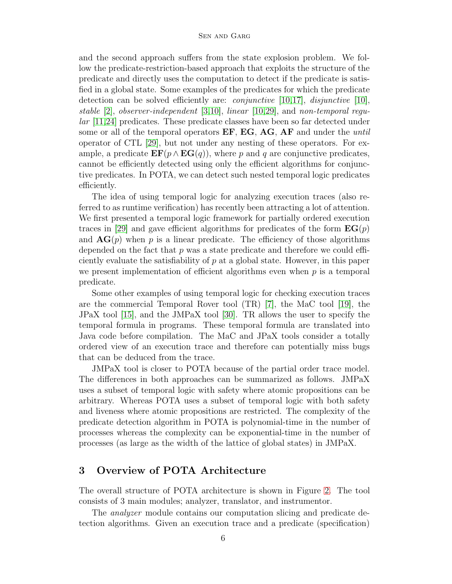and the second approach suffers from the state explosion problem. We follow the predicate-restriction-based approach that exploits the structure of the predicate and directly uses the computation to detect if the predicate is satisfied in a global state. Some examples of the predicates for which the predicate detection can be solved efficiently are: *conjunctive*  $[10,17]$  $[10,17]$ , *disjunctive*  $[10]$ , stable [\[2\]](#page-19-4), observer-independent [\[3,](#page-19-6)[10\]](#page-19-3), linear [\[10](#page-19-3)[,29\]](#page-21-4), and non-temporal regular [\[11,](#page-19-1)[24\]](#page-20-5) predicates. These predicate classes have been so far detected under some or all of the temporal operators  $EF$ ,  $EG$ ,  $AG$ ,  $AF$  and under the *until* operator of CTL [\[29\]](#page-21-4), but not under any nesting of these operators. For example, a predicate  $\mathbf{EF}(p \wedge \mathbf{EG}(q))$ , where p and q are conjunctive predicates, cannot be efficiently detected using only the efficient algorithms for conjunctive predicates. In POTA, we can detect such nested temporal logic predicates efficiently.

The idea of using temporal logic for analyzing execution traces (also referred to as runtime verification) has recently been attracting a lot of attention. We first presented a temporal logic framework for partially ordered execution traces in [\[29\]](#page-21-4) and gave efficient algorithms for predicates of the form  $\mathbf{EG}(p)$ and  $AG(p)$  when p is a linear predicate. The efficiency of those algorithms depended on the fact that  $p$  was a state predicate and therefore we could efficiently evaluate the satisfiability of p at a global state. However, in this paper we present implementation of efficient algorithms even when  $p$  is a temporal predicate.

Some other examples of using temporal logic for checking execution traces are the commercial Temporal Rover tool (TR) [\[7\]](#page-19-7), the MaC tool [\[19\]](#page-20-9), the JPaX tool [\[15\]](#page-20-10), and the JMPaX tool [\[30\]](#page-21-5). TR allows the user to specify the temporal formula in programs. These temporal formula are translated into Java code before compilation. The MaC and JPaX tools consider a totally ordered view of an execution trace and therefore can potentially miss bugs that can be deduced from the trace.

JMPaX tool is closer to POTA because of the partial order trace model. The differences in both approaches can be summarized as follows. JMPaX uses a subset of temporal logic with safety where atomic propositions can be arbitrary. Whereas POTA uses a subset of temporal logic with both safety and liveness where atomic propositions are restricted. The complexity of the predicate detection algorithm in POTA is polynomial-time in the number of processes whereas the complexity can be exponential-time in the number of processes (as large as the width of the lattice of global states) in JMPaX.

## 3 Overview of POTA Architecture

The overall structure of POTA architecture is shown in Figure [2.](#page-6-0) The tool consists of 3 main modules; analyzer, translator, and instrumentor.

The *analyzer* module contains our computation slicing and predicate detection algorithms. Given an execution trace and a predicate (specification)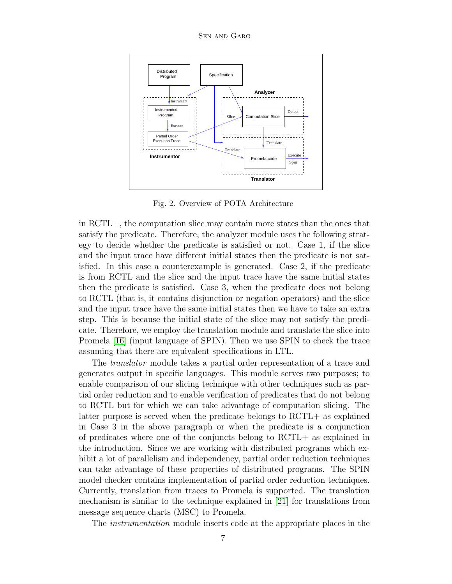Sen and Garg



<span id="page-6-0"></span>Fig. 2. Overview of POTA Architecture

in RCTL+, the computation slice may contain more states than the ones that satisfy the predicate. Therefore, the analyzer module uses the following strategy to decide whether the predicate is satisfied or not. Case 1, if the slice and the input trace have different initial states then the predicate is not satisfied. In this case a counterexample is generated. Case 2, if the predicate is from RCTL and the slice and the input trace have the same initial states then the predicate is satisfied. Case 3, when the predicate does not belong to RCTL (that is, it contains disjunction or negation operators) and the slice and the input trace have the same initial states then we have to take an extra step. This is because the initial state of the slice may not satisfy the predicate. Therefore, we employ the translation module and translate the slice into Promela [\[16\]](#page-20-4) (input language of SPIN). Then we use SPIN to check the trace assuming that there are equivalent specifications in LTL.

The translator module takes a partial order representation of a trace and generates output in specific languages. This module serves two purposes; to enable comparison of our slicing technique with other techniques such as partial order reduction and to enable verification of predicates that do not belong to RCTL but for which we can take advantage of computation slicing. The latter purpose is served when the predicate belongs to RCTL+ as explained in Case 3 in the above paragraph or when the predicate is a conjunction of predicates where one of the conjuncts belong to RCTL+ as explained in the introduction. Since we are working with distributed programs which exhibit a lot of parallelism and independency, partial order reduction techniques can take advantage of these properties of distributed programs. The SPIN model checker contains implementation of partial order reduction techniques. Currently, translation from traces to Promela is supported. The translation mechanism is similar to the technique explained in [\[21\]](#page-20-11) for translations from message sequence charts (MSC) to Promela.

The instrumentation module inserts code at the appropriate places in the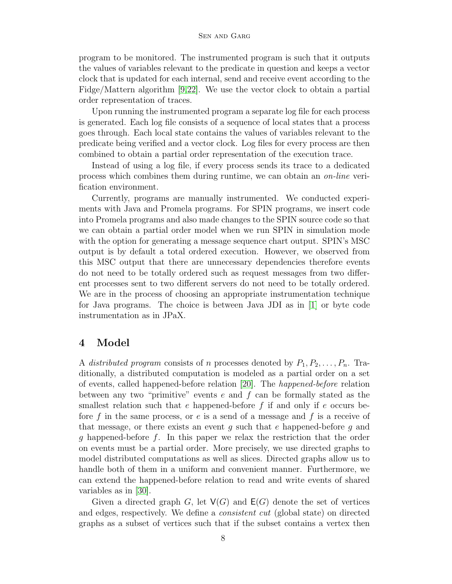program to be monitored. The instrumented program is such that it outputs the values of variables relevant to the predicate in question and keeps a vector clock that is updated for each internal, send and receive event according to the Fidge/Mattern algorithm [\[9,](#page-19-8)[22\]](#page-20-12). We use the vector clock to obtain a partial order representation of traces.

Upon running the instrumented program a separate log file for each process is generated. Each log file consists of a sequence of local states that a process goes through. Each local state contains the values of variables relevant to the predicate being verified and a vector clock. Log files for every process are then combined to obtain a partial order representation of the execution trace.

Instead of using a log file, if every process sends its trace to a dedicated process which combines them during runtime, we can obtain an on-line verification environment.

Currently, programs are manually instrumented. We conducted experiments with Java and Promela programs. For SPIN programs, we insert code into Promela programs and also made changes to the SPIN source code so that we can obtain a partial order model when we run SPIN in simulation mode with the option for generating a message sequence chart output. SPIN's MSC output is by default a total ordered execution. However, we observed from this MSC output that there are unnecessary dependencies therefore events do not need to be totally ordered such as request messages from two different processes sent to two different servers do not need to be totally ordered. We are in the process of choosing an appropriate instrumentation technique for Java programs. The choice is between Java JDI as in [\[1\]](#page-19-9) or byte code instrumentation as in JPaX.

## 4 Model

A distributed program consists of n processes denoted by  $P_1, P_2, \ldots, P_n$ . Traditionally, a distributed computation is modeled as a partial order on a set of events, called happened-before relation [\[20\]](#page-20-0). The happened-before relation between any two "primitive" events  $e$  and  $f$  can be formally stated as the smallest relation such that e happened-before  $f$  if and only if  $e$  occurs before f in the same process, or e is a send of a message and f is a receive of that message, or there exists an event g such that e happened-before g and g happened-before f. In this paper we relax the restriction that the order on events must be a partial order. More precisely, we use directed graphs to model distributed computations as well as slices. Directed graphs allow us to handle both of them in a uniform and convenient manner. Furthermore, we can extend the happened-before relation to read and write events of shared variables as in [\[30\]](#page-21-5).

Given a directed graph G, let  $V(G)$  and  $E(G)$  denote the set of vertices and edges, respectively. We define a consistent cut (global state) on directed graphs as a subset of vertices such that if the subset contains a vertex then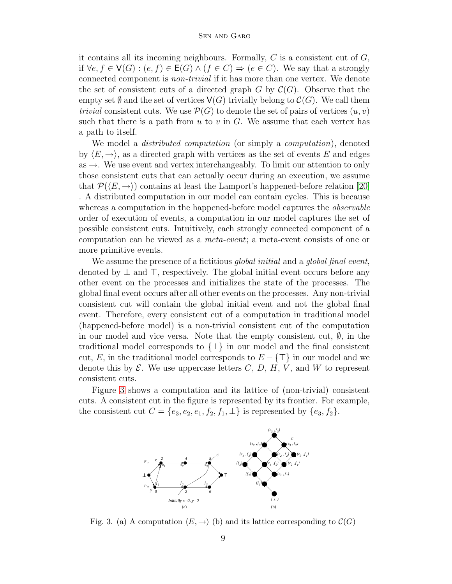it contains all its incoming neighbours. Formally,  $C$  is a consistent cut of  $G$ , if  $\forall e, f \in V(G) : (e, f) \in E(G) \land (f \in C) \Rightarrow (e \in C)$ . We say that a strongly connected component is non-trivial if it has more than one vertex. We denote the set of consistent cuts of a directed graph G by  $\mathcal{C}(G)$ . Observe that the empty set  $\emptyset$  and the set of vertices  $\mathsf{V}(G)$  trivially belong to  $\mathcal{C}(G)$ . We call them trivial consistent cuts. We use  $\mathcal{P}(G)$  to denote the set of pairs of vertices  $(u, v)$ such that there is a path from  $u$  to  $v$  in  $G$ . We assume that each vertex has a path to itself.

We model a *distributed computation* (or simply a *computation*), denoted by  $\langle E, \rightarrow \rangle$ , as a directed graph with vertices as the set of events E and edges as  $\rightarrow$ . We use event and vertex interchangeably. To limit our attention to only those consistent cuts that can actually occur during an execution, we assume that  $\mathcal{P}(\langle E,\to\rangle)$  contains at least the Lamport's happened-before relation [\[20\]](#page-20-0) . A distributed computation in our model can contain cycles. This is because whereas a computation in the happened-before model captures the *observable* order of execution of events, a computation in our model captures the set of possible consistent cuts. Intuitively, each strongly connected component of a computation can be viewed as a meta-event; a meta-event consists of one or more primitive events.

We assume the presence of a fictitious global initial and a global final event, denoted by  $\perp$  and  $\perp$ , respectively. The global initial event occurs before any other event on the processes and initializes the state of the processes. The global final event occurs after all other events on the processes. Any non-trivial consistent cut will contain the global initial event and not the global final event. Therefore, every consistent cut of a computation in traditional model (happened-before model) is a non-trivial consistent cut of the computation in our model and vice versa. Note that the empty consistent cut,  $\emptyset$ , in the traditional model corresponds to  $\{\perp\}$  in our model and the final consistent cut, E, in the traditional model corresponds to  $E - \{T\}$  in our model and we denote this by  $\mathcal{E}$ . We use uppercase letters  $C, D, H, V$ , and W to represent consistent cuts.

Figure [3](#page-8-0) shows a computation and its lattice of (non-trivial) consistent cuts. A consistent cut in the figure is represented by its frontier. For example, the consistent cut  $C = \{e_3, e_2, e_1, f_2, f_1, \perp\}$  is represented by  $\{e_3, f_2\}.$ 



<span id="page-8-0"></span>Fig. 3. (a) A computation  $\langle E, \rightarrow \rangle$  (b) and its lattice corresponding to  $\mathcal{C}(G)$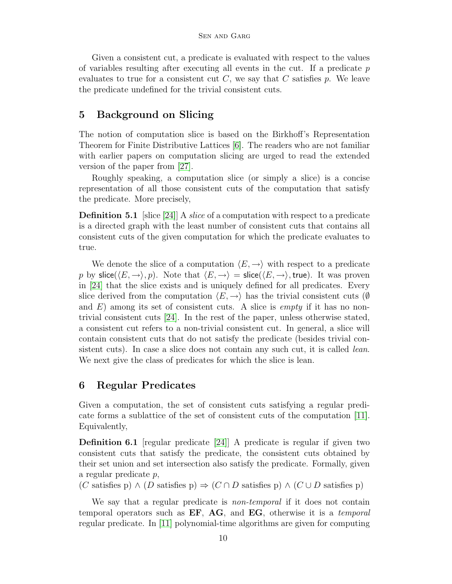Given a consistent cut, a predicate is evaluated with respect to the values of variables resulting after executing all events in the cut. If a predicate  $p$ evaluates to true for a consistent cut  $C$ , we say that  $C$  satisfies  $p$ . We leave the predicate undefined for the trivial consistent cuts.

## 5 Background on Slicing

The notion of computation slice is based on the Birkhoff's Representation Theorem for Finite Distributive Lattices [\[6\]](#page-19-10). The readers who are not familiar with earlier papers on computation slicing are urged to read the extended version of the paper from [\[27\]](#page-21-6).

Roughly speaking, a computation slice (or simply a slice) is a concise representation of all those consistent cuts of the computation that satisfy the predicate. More precisely,

**Definition 5.1** [slice [\[24\]](#page-20-5)] A *slice* of a computation with respect to a predicate is a directed graph with the least number of consistent cuts that contains all consistent cuts of the given computation for which the predicate evaluates to true.

We denote the slice of a computation  $\langle E, \rightarrow \rangle$  with respect to a predicate p by slice( $\langle E,\rightarrow\rangle, p$ ). Note that  $\langle E,\rightarrow\rangle$  = slice( $\langle E,\rightarrow\rangle$ , true). It was proven in [\[24\]](#page-20-5) that the slice exists and is uniquely defined for all predicates. Every slice derived from the computation  $\langle E, \rightarrow \rangle$  has the trivial consistent cuts (Ø) and  $E$ ) among its set of consistent cuts. A slice is *empty* if it has no nontrivial consistent cuts [\[24\]](#page-20-5). In the rest of the paper, unless otherwise stated, a consistent cut refers to a non-trivial consistent cut. In general, a slice will contain consistent cuts that do not satisfy the predicate (besides trivial consistent cuts). In case a slice does not contain any such cut, it is called *lean*. We next give the class of predicates for which the slice is lean.

## 6 Regular Predicates

Given a computation, the set of consistent cuts satisfying a regular predicate forms a sublattice of the set of consistent cuts of the computation [\[11\]](#page-19-1). Equivalently,

Definition 6.1 [regular predicate [\[24\]](#page-20-5)] A predicate is regular if given two consistent cuts that satisfy the predicate, the consistent cuts obtained by their set union and set intersection also satisfy the predicate. Formally, given a regular predicate p,

(C satisfies p)  $\wedge$  (D satisfies p)  $\Rightarrow$  (C  $\cap$  D satisfies p)  $\wedge$  (C  $\cup$  D satisfies p)

We say that a regular predicate is *non-temporal* if it does not contain temporal operators such as  $EF$ ,  $AG$ , and  $EG$ , otherwise it is a *temporal* regular predicate. In [\[11\]](#page-19-1) polynomial-time algorithms are given for computing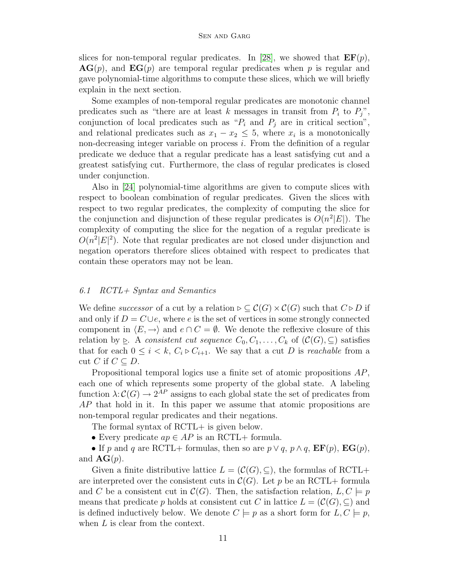slices for non-temporal regular predicates. In [\[28\]](#page-21-3), we showed that  $\mathbf{EF}(p)$ ,  $AG(p)$ , and  $EG(p)$  are temporal regular predicates when p is regular and gave polynomial-time algorithms to compute these slices, which we will briefly explain in the next section.

Some examples of non-temporal regular predicates are monotonic channel predicates such as "there are at least k messages in transit from  $P_i$  to  $P_j$ ", conjunction of local predicates such as " $P_i$  and  $P_j$  are in critical section", and relational predicates such as  $x_1 - x_2 \leq 5$ , where  $x_i$  is a monotonically non-decreasing integer variable on process i. From the definition of a regular predicate we deduce that a regular predicate has a least satisfying cut and a greatest satisfying cut. Furthermore, the class of regular predicates is closed under conjunction.

Also in [\[24\]](#page-20-5) polynomial-time algorithms are given to compute slices with respect to boolean combination of regular predicates. Given the slices with respect to two regular predicates, the complexity of computing the slice for the conjunction and disjunction of these regular predicates is  $O(n^2|E|)$ . The complexity of computing the slice for the negation of a regular predicate is  $O(n^2|E|^2)$ . Note that regular predicates are not closed under disjunction and negation operators therefore slices obtained with respect to predicates that contain these operators may not be lean.

#### 6.1 RCTL+ Syntax and Semantics

We define successor of a cut by a relation  $\rhd \subseteq \mathcal{C}(G) \times \mathcal{C}(G)$  such that  $C \triangleright D$  if and only if  $D = C \cup e$ , where e is the set of vertices in some strongly connected component in  $\langle E,\rightarrow\rangle$  and  $e\cap C=\emptyset$ . We denote the reflexive closure of this relation by  $\triangleright$ . A consistent cut sequence  $C_0, C_1, \ldots, C_k$  of  $(\mathcal{C}(G), \subseteq)$  satisfies that for each  $0 \leq i \leq k$ ,  $C_i \triangleright C_{i+1}$ . We say that a cut D is *reachable* from a cut C if  $C \subseteq D$ .

Propositional temporal logics use a finite set of atomic propositions AP, each one of which represents some property of the global state. A labeling function  $\lambda: \mathcal{C}(G) \to 2^{AP}$  assigns to each global state the set of predicates from AP that hold in it. In this paper we assume that atomic propositions are non-temporal regular predicates and their negations.

The formal syntax of RCTL+ is given below.

• Every predicate  $ap \in AP$  is an RCTL+ formula.

• If p and q are RCTL+ formulas, then so are  $p \vee q$ ,  $p \wedge q$ ,  $\mathbf{EF}(p)$ ,  $\mathbf{EG}(p)$ , and  $\mathbf{AG}(p)$ .

Given a finite distributive lattice  $L = (\mathcal{C}(G), \subseteq)$ , the formulas of RCTL+ are interpreted over the consistent cuts in  $\mathcal{C}(G)$ . Let p be an RCTL+ formula and C be a consistent cut in  $\mathcal{C}(G)$ . Then, the satisfaction relation,  $L, C \models p$ means that predicate p holds at consistent cut C in lattice  $L = (\mathcal{C}(G), \subseteq)$  and is defined inductively below. We denote  $C \models p$  as a short form for  $L, C \models p$ , when L is clear from the context.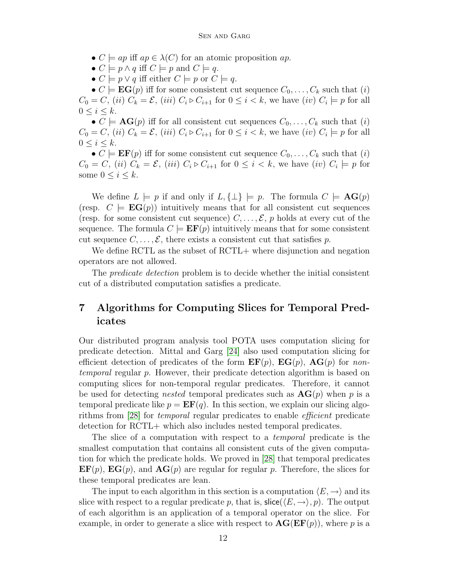- $C \models ap$  iff  $ap \in \lambda(C)$  for an atomic proposition  $ap$ .
- $C \models p \land q$  iff  $C \models p$  and  $C \models q$ .
- $C \models p \lor q$  iff either  $C \models p$  or  $C \models q$ .

•  $C \models \mathbf{EG}(p)$  iff for some consistent cut sequence  $C_0, \ldots, C_k$  such that (i)  $C_0 = C$ , (ii)  $C_k = \mathcal{E}$ , (iii)  $C_i \triangleright C_{i+1}$  for  $0 \leq i < k$ , we have (iv)  $C_i \models p$  for all  $0 \leq i \leq k$ .

•  $C \models \mathbf{AG}(p)$  iff for all consistent cut sequences  $C_0, \ldots, C_k$  such that (i)  $C_0 = C$ , (ii)  $C_k = \mathcal{E}$ , (iii)  $C_i \triangleright C_{i+1}$  for  $0 \leq i < k$ , we have (iv)  $C_i \models p$  for all  $0 \leq i \leq k$ .

•  $C \models \mathbf{EF}(p)$  iff for some consistent cut sequence  $C_0, \ldots, C_k$  such that  $(i)$  $C_0 = C$ , (ii)  $C_k = \mathcal{E}$ , (iii)  $C_i \triangleright C_{i+1}$  for  $0 \leq i < k$ , we have (iv)  $C_i \models p$  for some  $0 \leq i \leq k$ .

We define  $L \models p$  if and only if  $L, \{\perp\} \models p$ . The formula  $C \models \mathbf{AG}(p)$ (resp.  $C \models EG(p)$ ) intuitively means that for all consistent cut sequences (resp. for some consistent cut sequence)  $C, \ldots, \mathcal{E}, p$  holds at every cut of the sequence. The formula  $C \models \textbf{EF}(p)$  intuitively means that for some consistent cut sequence  $C, \ldots, \mathcal{E}$ , there exists a consistent cut that satisfies p.

We define RCTL as the subset of RCTL+ where disjunction and negation operators are not allowed.

The predicate detection problem is to decide whether the initial consistent cut of a distributed computation satisfies a predicate.

## 7 Algorithms for Computing Slices for Temporal Predicates

Our distributed program analysis tool POTA uses computation slicing for predicate detection. Mittal and Garg [\[24\]](#page-20-5) also used computation slicing for efficient detection of predicates of the form  $\mathbf{EF}(p)$ ,  $\mathbf{EG}(p)$ ,  $\mathbf{AG}(p)$  for nontemporal regular p. However, their predicate detection algorithm is based on computing slices for non-temporal regular predicates. Therefore, it cannot be used for detecting *nested* temporal predicates such as  $AG(p)$  when p is a temporal predicate like  $p = EF(q)$ . In this section, we explain our slicing algorithms from [\[28\]](#page-21-3) for temporal regular predicates to enable efficient predicate detection for RCTL+ which also includes nested temporal predicates.

The slice of a computation with respect to a *temporal* predicate is the smallest computation that contains all consistent cuts of the given computation for which the predicate holds. We proved in [\[28\]](#page-21-3) that temporal predicates  $\mathbf{EF}(p)$ ,  $\mathbf{EG}(p)$ , and  $\mathbf{AG}(p)$  are regular for regular p. Therefore, the slices for these temporal predicates are lean.

The input to each algorithm in this section is a computation  $\langle E, \rightarrow \rangle$  and its slice with respect to a regular predicate p, that is,  $\textsf{slice}(\langle E,\rightarrow\rangle, p)$ . The output of each algorithm is an application of a temporal operator on the slice. For example, in order to generate a slice with respect to  $AG(EF(p))$ , where p is a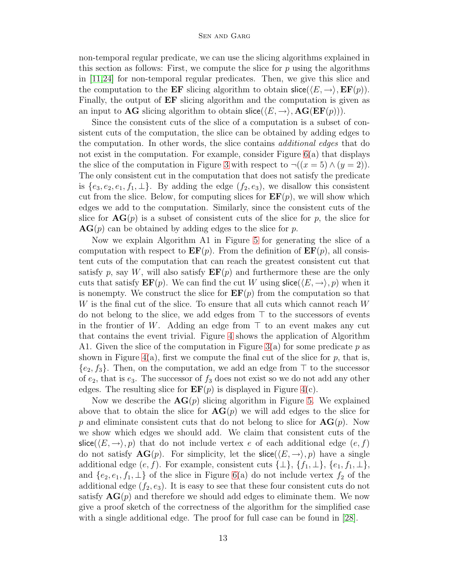non-temporal regular predicate, we can use the slicing algorithms explained in this section as follows: First, we compute the slice for  $p$  using the algorithms in [\[11,](#page-19-1)[24\]](#page-20-5) for non-temporal regular predicates. Then, we give this slice and the computation to the **EF** slicing algorithm to obtain  $\textsf{slice}(\langle E, \to \rangle, \textbf{EF}(p)).$ Finally, the output of EF slicing algorithm and the computation is given as an input to **AG** slicing algorithm to obtain  $\text{slice}(\langle E,\rightarrow\rangle, \text{AG}(EF(p)))$ .

Since the consistent cuts of the slice of a computation is a subset of consistent cuts of the computation, the slice can be obtained by adding edges to the computation. In other words, the slice contains additional edges that do not exist in the computation. For example, consider Figure [6\(](#page-15-0)a) that displays the slice of the computation in Figure [3](#page-8-0) with respect to  $\neg((x=5) \land (y=2)).$ The only consistent cut in the computation that does not satisfy the predicate is  $\{e_3, e_2, e_1, f_1, \perp\}$ . By adding the edge  $(f_2, e_3)$ , we disallow this consistent cut from the slice. Below, for computing slices for  $\mathbf{EF}(p)$ , we will show which edges we add to the computation. Similarly, since the consistent cuts of the slice for  $AG(p)$  is a subset of consistent cuts of the slice for p, the slice for  $AG(p)$  can be obtained by adding edges to the slice for p.

Now we explain Algorithm A1 in Figure [5](#page-14-0) for generating the slice of a computation with respect to  $\mathbf{E}(\mathbf{F}(p))$ . From the definition of  $\mathbf{E}(\mathbf{F}(p))$ , all consistent cuts of the computation that can reach the greatest consistent cut that satisfy p, say W, will also satisfy  $\mathbf{EF}(p)$  and furthermore these are the only cuts that satisfy  $\mathbf{EF}(p)$ . We can find the cut W using  $\textsf{slice}(\langle E,\to\rangle, p)$  when it is nonempty. We construct the slice for  $\mathbf{EF}(p)$  from the computation so that W is the final cut of the slice. To ensure that all cuts which cannot reach W do not belong to the slice, we add edges from  $\top$  to the successors of events in the frontier of W. Adding an edge from  $\top$  to an event makes any cut that contains the event trivial. Figure [4](#page-13-0) shows the application of Algorithm A1. Given the slice of the computation in Figure [3\(](#page-8-0)a) for some predicate p as shown in Figure [4\(](#page-13-0)a), first we compute the final cut of the slice for p, that is,  ${e_2, f_3}$ . Then, on the computation, we add an edge from  $\top$  to the successor of  $e_2$ , that is  $e_3$ . The successor of  $f_3$  does not exist so we do not add any other edges. The resulting slice for  $\mathbf{EF}(p)$  is displayed in Figure [4\(](#page-13-0)c).

Now we describe the  $AG(p)$  slicing algorithm in Figure [5.](#page-14-0) We explained above that to obtain the slice for  $AG(p)$  we will add edges to the slice for p and eliminate consistent cuts that do not belong to slice for  $AG(p)$ . Now we show which edges we should add. We claim that consistent cuts of the slice( $\langle E,\rightarrow\rangle, p$ ) that do not include vertex e of each additional edge  $(e, f)$ do not satisfy  $\mathbf{AG}(p)$ . For simplicity, let the slice( $\langle E,\rightarrow\rangle$ , p) have a single additional edge  $(e, f)$ . For example, consistent cuts  $\{\perp\}, \{f_1, \perp\}, \{e_1, f_1, \perp\},\$ and  $\{e_2, e_1, f_1, \perp\}$  of the slice in Figure [6\(](#page-15-0)a) do not include vertex  $f_2$  of the additional edge  $(f_2, e_3)$ . It is easy to see that these four consistent cuts do not satisfy  $AG(p)$  and therefore we should add edges to eliminate them. We now give a proof sketch of the correctness of the algorithm for the simplified case with a single additional edge. The proof for full case can be found in [\[28\]](#page-21-3).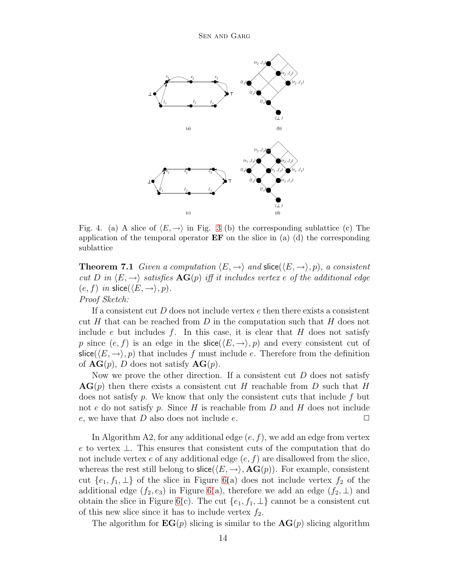

<span id="page-13-0"></span>Fig. 4. (a) A slice of  $\langle E, \rightarrow \rangle$  in Fig. [3](#page-8-0) (b) the corresponding sublattice (c) The application of the temporal operator  $EF$  on the slice in (a) (d) the corresponding sublattice

**Theorem 7.1** Given a computation  $\langle E, \rightarrow \rangle$  and slice( $\langle E, \rightarrow \rangle, p$ ), a consistent cut D in  $\langle E,\rightarrow\rangle$  satisfies  $\mathbf{AG}(p)$  iff it includes vertex e of the additional edge  $(e, f)$  in slice( $\langle E, \rightarrow \rangle, p$ ). Proof Sketch:

If a consistent cut  $D$  does not include vertex  $e$  then there exists a consistent cut H that can be reached from D in the computation such that H does not include e but includes f. In this case, it is clear that  $H$  does not satisfy p since  $(e, f)$  is an edge in the slice( $\langle E, \rightarrow \rangle$ , p) and every consistent cut of slice( $(E, \rightarrow)$ , p) that includes f must include e. Therefore from the definition of  $AG(p)$ , D does not satisfy  $AG(p)$ .

Now we prove the other direction. If a consistent cut  $D$  does not satisfy  $AG(p)$  then there exists a consistent cut H reachable from D such that H does not satisfy p. We know that only the consistent cuts that include  $f$  but not e do not satisfy p. Since  $H$  is reachable from  $D$  and  $H$  does not include e, we have that D also does not include e.  $\Box$ 

In Algorithm A2, for any additional edge  $(e, f)$ , we add an edge from vertex e to vertex ⊥. This ensures that consistent cuts of the computation that do not include vertex e of any additional edge  $(e, f)$  are disallowed from the slice, whereas the rest still belong to slice( $\langle E,\rightarrow\rangle$ ,  $\mathbf{AG}(p)$ ). For example, consistent cut  $\{e_1, f_1, \perp\}$  of the slice in Figure [6\(](#page-15-0)a) does not include vertex  $f_2$  of the additional edge  $(f_2, e_3)$  in Figure [6\(](#page-15-0)a), therefore we add an edge  $(f_2, \perp)$  and obtain the slice in Figure [6\(](#page-15-0)c). The cut  $\{e_1, f_1, \perp\}$  cannot be a consistent cut of this new slice since it has to include vertex  $f_2$ .

The algorithm for  $EG(p)$  slicing is similar to the  $AG(p)$  slicing algorithm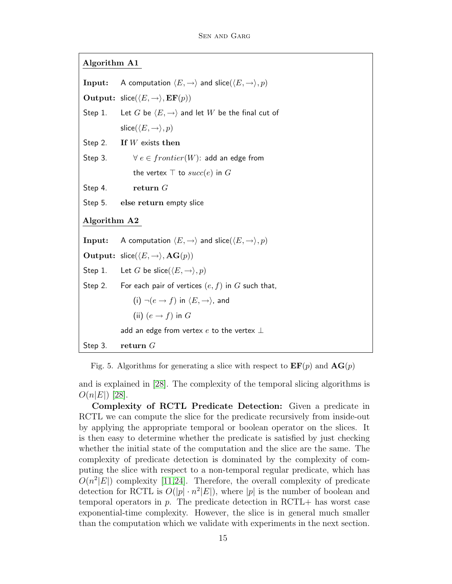Algorithm A1

**Input:** A computation  $\langle E, \rightarrow \rangle$  and slice( $\langle E, \rightarrow \rangle, p$ ) Output:  $\textsf{slice}(\langle E, \rightarrow \rangle, \textbf{EF}(p))$ Step 1. Let G be  $\langle E, \rightarrow \rangle$  and let W be the final cut of slice( $\langle E, \rightarrow \rangle, p$ ) Step 2. If  $W$  exists then Step 3.  $\forall e \in frontier(W)$ : add an edge from the vertex  $\top$  to  $succ(e)$  in G Step 4. return G Step 5. else return empty slice Algorithm A2 **Input:** A computation  $\langle E, \rightarrow \rangle$  and slice( $\langle E, \rightarrow \rangle, p$ ) **Output:** slice( $\langle E, \rightarrow \rangle$ , **AG** $(p)$ ) Step 1. Let G be slice( $\langle E, \rightarrow \rangle, p$ ) Step 2. For each pair of vertices  $(e, f)$  in G such that, (i)  $\neg(e \rightarrow f)$  in  $\langle E, \rightarrow \rangle$ , and (ii)  $(e \rightarrow f)$  in G add an edge from vertex  $e$  to the vertex  $\bot$ Step 3. return G

Fig. 5. Algorithms for generating a slice with respect to  $\mathbf{EF}(p)$  and  $\mathbf{AG}(p)$ 

<span id="page-14-0"></span>and is explained in [\[28\]](#page-21-3). The complexity of the temporal slicing algorithms is  $O(n|E|)$  [\[28\]](#page-21-3).

Complexity of RCTL Predicate Detection: Given a predicate in RCTL we can compute the slice for the predicate recursively from inside-out by applying the appropriate temporal or boolean operator on the slices. It is then easy to determine whether the predicate is satisfied by just checking whether the initial state of the computation and the slice are the same. The complexity of predicate detection is dominated by the complexity of computing the slice with respect to a non-temporal regular predicate, which has  $O(n^2|E|)$  complexity [\[11,](#page-19-1)[24\]](#page-20-5). Therefore, the overall complexity of predicate detection for RCTL is  $O(|p| \cdot n^2 |E|)$ , where |p| is the number of boolean and temporal operators in  $p$ . The predicate detection in RCTL+ has worst case exponential-time complexity. However, the slice is in general much smaller than the computation which we validate with experiments in the next section.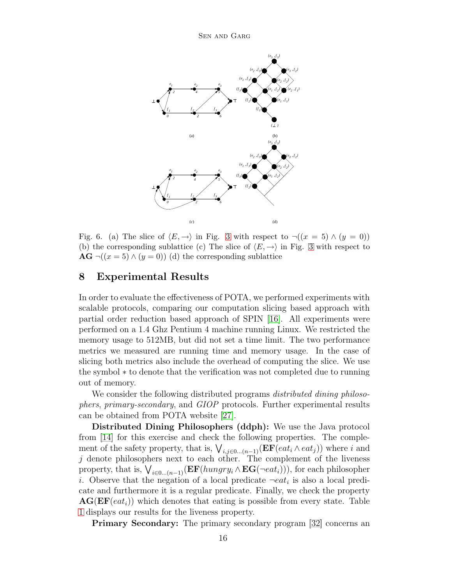

<span id="page-15-0"></span>Fig. 6. (a) The slice of  $\langle E, \rightarrow \rangle$  in Fig. [3](#page-8-0) with respect to  $\neg((x = 5) \land (y = 0))$ (b) the corresponding sublattice (c) The slice of  $\langle E, \rightarrow \rangle$  in Fig. [3](#page-8-0) with respect to  $AG \neg ((x = 5) \land (y = 0))$  (d) the corresponding sublattice

## 8 Experimental Results

In order to evaluate the effectiveness of POTA, we performed experiments with scalable protocols, comparing our computation slicing based approach with partial order reduction based approach of SPIN [\[16\]](#page-20-4). All experiments were performed on a 1.4 Ghz Pentium 4 machine running Linux. We restricted the memory usage to 512MB, but did not set a time limit. The two performance metrics we measured are running time and memory usage. In the case of slicing both metrics also include the overhead of computing the slice. We use the symbol ∗ to denote that the verification was not completed due to running out of memory.

We consider the following distributed programs *distributed dining philoso*phers, primary-secondary, and GIOP protocols. Further experimental results can be obtained from POTA website [\[27\]](#page-21-6).

Distributed Dining Philosophers (ddph): We use the Java protocol from [\[14\]](#page-20-13) for this exercise and check the following properties. The complement of the safety property, that is,  $\bigvee_{i,j\in 0... (n-1)} (\mathbf{EF}(eat_i \wedge eat_j))$  where i and  $j$  denote philosophers next to each other. The complement of the liveness property, that is,  $\bigvee_{i\in 0... (n-1)} (\mathbf{EF}(hungry_i \wedge \mathbf{EG}(\neg eat_i))),$  for each philosopher i. Observe that the negation of a local predicate  $\neg eat_i$  is also a local predicate and furthermore it is a regular predicate. Finally, we check the property  $AG(EF(eat_i))$  which denotes that eating is possible from every state. Table [1](#page-16-0) displays our results for the liveness property.

Primary Secondary: The primary secondary program [\[32\]](#page-21-2) concerns an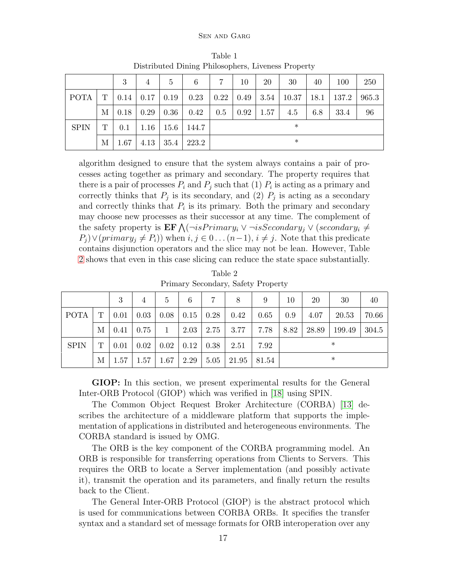<span id="page-16-0"></span>

|             |             | 3    | $\overline{4}$             | 5    | 6                           | $\overline{7}$ | 10   | 20   | 30                                                                        | 40  | 100  | 250   |  |
|-------------|-------------|------|----------------------------|------|-----------------------------|----------------|------|------|---------------------------------------------------------------------------|-----|------|-------|--|
| <b>POTA</b> | $\mathbf T$ |      | $0.14 \mid 0.17 \mid 0.19$ |      | 0.23                        |                |      |      | $\mid$ 0.22 $\mid$ 0.49 $\mid$ 3.54 $\mid$ 10.37 $\mid$ 18.1 $\mid$ 137.2 |     |      | 965.3 |  |
|             | М           |      | $0.18 \mid 0.29 \mid 0.36$ |      | 0.42                        | 0.5            | 0.92 | 1.57 | 4.5                                                                       | 6.8 | 33.4 | 96    |  |
| <b>SPIN</b> | T           |      |                            |      | $0.1$   1.16   15.6   144.7 | $\ast$         |      |      |                                                                           |     |      |       |  |
|             | М           | 1.67 | 4.13                       | 35.4 | 223.2                       | $\ast$         |      |      |                                                                           |     |      |       |  |

Table 1 Distributed Dining Philosophers, Liveness Property

algorithm designed to ensure that the system always contains a pair of processes acting together as primary and secondary. The property requires that there is a pair of processes  $P_i$  and  $P_j$  such that (1)  $P_i$  is acting as a primary and correctly thinks that  $P_j$  is its secondary, and (2)  $P_j$  is acting as a secondary and correctly thinks that  $P_i$  is its primary. Both the primary and secondary may choose new processes as their successor at any time. The complement of the safety property is  $\mathbf{EF} \bigwedge (\neg isPrimary_i \vee \neg isSecondary_j \vee (secondary_i \neq$  $P_i$ )  $\vee$  (primary<sub>j</sub>  $\neq$   $P_i$ )) when  $i, j \in 0 \dots (n-1), i \neq j$ . Note that this predicate contains disjunction operators and the slice may not be lean. However, Table [2](#page-16-1) shows that even in this case slicing can reduce the state space substantially.

Table 2 Primary Secondary, Safety Property

<span id="page-16-1"></span>

|             |   | 3                            | $\overline{4}$ | $\frac{5}{2}$ | 6 | $7^{\circ}$ | 8                                                                  | 9 | 10     | 20         | 30     | 40    |
|-------------|---|------------------------------|----------------|---------------|---|-------------|--------------------------------------------------------------------|---|--------|------------|--------|-------|
| POTA        |   | $T \mid 0.01 \mid 0.03 \mid$ |                |               |   |             | $\vert 0.08 \vert 0.15 \vert 0.28 \vert 0.42 \vert 0.65$           |   | 0.9    | 4.07       | 20.53  | 70.66 |
|             | М | $0.41 \,   \, 0.75$          |                |               |   |             | $1 \mid 2.03 \mid 2.75 \mid 3.77 \mid 7.78$                        |   |        | 8.82 28.89 | 199.49 | 304.5 |
| <b>SPIN</b> | T |                              |                |               |   |             | $0.01 \mid 0.02 \mid 0.02 \mid 0.12 \mid 0.38 \mid 2.51 \mid 7.92$ |   | $\ast$ |            |        |       |
|             | М |                              |                |               |   |             | $1.57$   $1.57$   $1.67$   $2.29$   $5.05$   $21.95$   $81.54$     |   |        |            | $\ast$ |       |

GIOP: In this section, we present experimental results for the General Inter-ORB Protocol (GIOP) which was verified in [\[18\]](#page-20-7) using SPIN.

The Common Object Request Broker Architecture (CORBA) [\[13\]](#page-20-14) describes the architecture of a middleware platform that supports the implementation of applications in distributed and heterogeneous environments. The CORBA standard is issued by OMG.

The ORB is the key component of the CORBA programming model. An ORB is responsible for transferring operations from Clients to Servers. This requires the ORB to locate a Server implementation (and possibly activate it), transmit the operation and its parameters, and finally return the results back to the Client.

The General Inter-ORB Protocol (GIOP) is the abstract protocol which is used for communications between CORBA ORBs. It specifies the transfer syntax and a standard set of message formats for ORB interoperation over any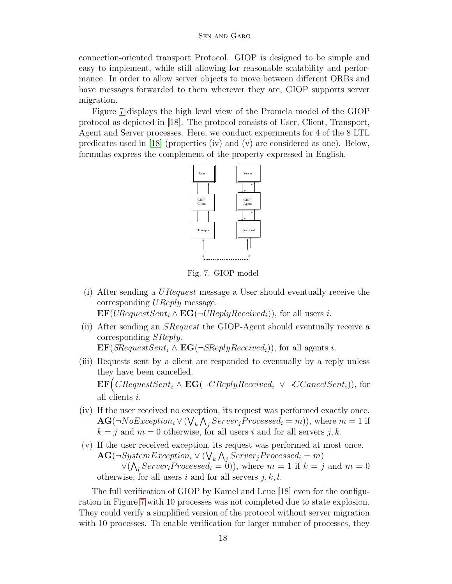connection-oriented transport Protocol. GIOP is designed to be simple and easy to implement, while still allowing for reasonable scalability and performance. In order to allow server objects to move between different ORBs and have messages forwarded to them wherever they are, GIOP supports server migration.

Figure [7](#page-17-0) displays the high level view of the Promela model of the GIOP protocol as depicted in [\[18\]](#page-20-7). The protocol consists of User, Client, Transport, Agent and Server processes. Here, we conduct experiments for 4 of the 8 LTL predicates used in [\[18\]](#page-20-7) (properties (iv) and (v) are considered as one). Below, formulas express the complement of the property expressed in English.



<span id="page-17-0"></span>Fig. 7. GIOP model

(i) After sending a URequest message a User should eventually receive the corresponding *UReply* message.  $\mathbf{EF}(URequestSent_i \wedge \mathbf{EG}(\neg UReplyReceived_i)),$  for all users i.

(ii) After sending an SRequest the GIOP-Agent should eventually receive a corresponding SReply.

 $\mathbf{EF}(SRequestSent_i \wedge \mathbf{EG}(\neg SReplyReceived_i)),$  for all agents i.

- (iii) Requests sent by a client are responded to eventually by a reply unless they have been cancelled.  $\mathbf{EF}\Big(CRequestSent_i \wedge \mathbf{EG}(\neg CReplyReceived_i \vee \neg CCancelSent_i)),$  for all clients i.
- (iv) If the user received no exception, its request was performed exactly once.  $AG(\neg NoException_i \lor (\bigvee_k \bigwedge_j Server_j Processes_i = m)),$  where  $m = 1$  if  $k = j$  and  $m = 0$  otherwise, for all users i and for all servers j, k.
- (v) If the user received exception, its request was performed at most once.  $\textbf{AG}(\neg SystemException_i \lor (\bigvee_k \bigwedge_j Server_j Processed_i = m)$  $\vee(\bigwedge_l Server_l Processed_i = 0)),$  where  $m = 1$  if  $k = j$  and  $m = 0$ otherwise, for all users i and for all servers  $j, k, l$ .

The full verification of GIOP by Kamel and Leue [\[18\]](#page-20-7) even for the configuration in Figure [7](#page-17-0) with 10 processes was not completed due to state explosion. They could verify a simplified version of the protocol without server migration with 10 processes. To enable verification for larger number of processes, they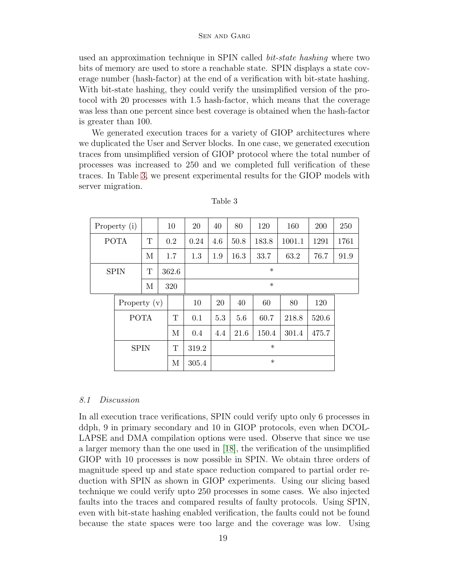used an approximation technique in SPIN called bit-state hashing where two bits of memory are used to store a reachable state. SPIN displays a state coverage number (hash-factor) at the end of a verification with bit-state hashing. With bit-state hashing, they could verify the unsimplified version of the protocol with 20 processes with 1.5 hash-factor, which means that the coverage was less than one percent since best coverage is obtained when the hash-factor is greater than 100.

We generated execution traces for a variety of GIOP architectures where we duplicated the User and Server blocks. In one case, we generated execution traces from unsimplified version of GIOP protocol where the total number of processes was increased to 250 and we completed full verification of these traces. In Table [3,](#page-18-0) we present experimental results for the GIOP models with server migration.

| Property (i) |                |   | 10    | 20     | 40     | 80     | 120   | 160    | 200   | 250  |  |  |  |
|--------------|----------------|---|-------|--------|--------|--------|-------|--------|-------|------|--|--|--|
| <b>POTA</b>  |                | Т | 0.2   | 0.24   | 4.6    | 50.8   | 183.8 | 1001.1 | 1291  | 1761 |  |  |  |
|              |                | M | 1.7   | 1.3    | 1.9    | 16.3   | 33.7  | 63.2   | 76.7  | 91.9 |  |  |  |
| <b>SPIN</b>  |                | T | 362.6 |        | $\ast$ |        |       |        |       |      |  |  |  |
|              |                | М | 320   |        | $\ast$ |        |       |        |       |      |  |  |  |
|              | Property $(v)$ |   |       | $10\,$ | 20     | 40     | 60    | 80     | 120   |      |  |  |  |
|              | <b>POTA</b>    |   | T     | 0.1    | 5.3    | 5.6    | 60.7  | 218.8  | 520.6 |      |  |  |  |
|              |                |   | M     | 0.4    | 4.4    | 21.6   | 150.4 | 301.4  | 475.7 |      |  |  |  |
|              | <b>SPIN</b>    |   | Т     | 319.2  |        | $\ast$ |       |        |       |      |  |  |  |
|              |                |   |       | 305.4  |        |        |       |        |       |      |  |  |  |

<span id="page-18-0"></span>Table 3

#### 8.1 Discussion

In all execution trace verifications, SPIN could verify upto only 6 processes in ddph, 9 in primary secondary and 10 in GIOP protocols, even when DCOL-LAPSE and DMA compilation options were used. Observe that since we use a larger memory than the one used in [\[18\]](#page-20-7), the verification of the unsimplified GIOP with 10 processes is now possible in SPIN. We obtain three orders of magnitude speed up and state space reduction compared to partial order reduction with SPIN as shown in GIOP experiments. Using our slicing based technique we could verify upto 250 processes in some cases. We also injected faults into the traces and compared results of faulty protocols. Using SPIN, even with bit-state hashing enabled verification, the faults could not be found because the state spaces were too large and the coverage was low. Using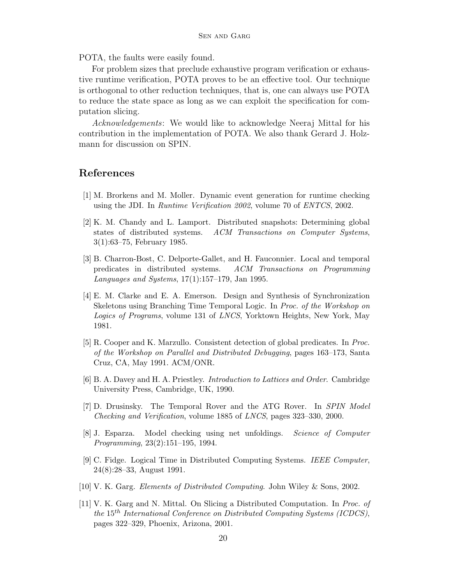POTA, the faults were easily found.

For problem sizes that preclude exhaustive program verification or exhaustive runtime verification, POTA proves to be an effective tool. Our technique is orthogonal to other reduction techniques, that is, one can always use POTA to reduce the state space as long as we can exploit the specification for computation slicing.

Acknowledgements: We would like to acknowledge Neeraj Mittal for his contribution in the implementation of POTA. We also thank Gerard J. Holzmann for discussion on SPIN.

### <span id="page-19-9"></span>References

- <span id="page-19-4"></span>[1] M. Brorkens and M. Moller. Dynamic event generation for runtime checking using the JDI. In Runtime Verification 2002, volume 70 of ENTCS, 2002.
- [2] K. M. Chandy and L. Lamport. Distributed snapshots: Determining global states of distributed systems. ACM Transactions on Computer Systems, 3(1):63–75, February 1985.
- <span id="page-19-6"></span>[3] B. Charron-Bost, C. Delporte-Gallet, and H. Fauconnier. Local and temporal predicates in distributed systems. ACM Transactions on Programming Languages and Systems, 17(1):157–179, Jan 1995.
- <span id="page-19-2"></span>[4] E. M. Clarke and E. A. Emerson. Design and Synthesis of Synchronization Skeletons using Branching Time Temporal Logic. In Proc. of the Workshop on Logics of Programs, volume 131 of LNCS, Yorktown Heights, New York, May 1981.
- <span id="page-19-5"></span>[5] R. Cooper and K. Marzullo. Consistent detection of global predicates. In Proc. of the Workshop on Parallel and Distributed Debugging, pages 163–173, Santa Cruz, CA, May 1991. ACM/ONR.
- <span id="page-19-10"></span><span id="page-19-7"></span>[6] B. A. Davey and H. A. Priestley. Introduction to Lattices and Order. Cambridge University Press, Cambridge, UK, 1990.
- [7] D. Drusinsky. The Temporal Rover and the ATG Rover. In SPIN Model Checking and Verification, volume 1885 of LNCS, pages 323–330, 2000.
- <span id="page-19-0"></span>[8] J. Esparza. Model checking using net unfoldings. Science of Computer Programming, 23(2):151–195, 1994.
- <span id="page-19-8"></span>[9] C. Fidge. Logical Time in Distributed Computing Systems. IEEE Computer, 24(8):28–33, August 1991.
- <span id="page-19-3"></span><span id="page-19-1"></span>[10] V. K. Garg. Elements of Distributed Computing. John Wiley & Sons, 2002.
- [11] V. K. Garg and N. Mittal. On Slicing a Distributed Computation. In Proc. of the 15th International Conference on Distributed Computing Systems (ICDCS), pages 322–329, Phoenix, Arizona, 2001.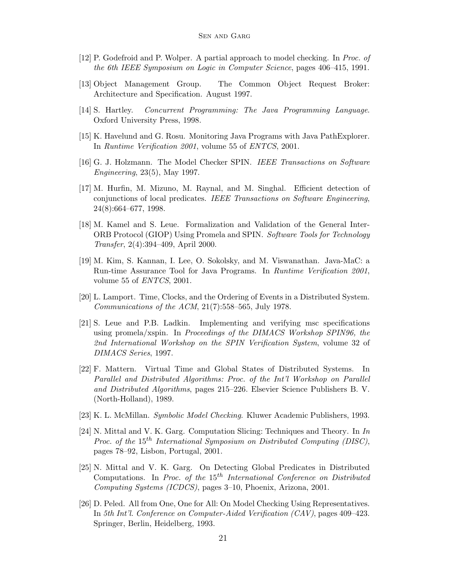- <span id="page-20-14"></span><span id="page-20-2"></span>[12] P. Godefroid and P. Wolper. A partial approach to model checking. In Proc. of the 6th IEEE Symposium on Logic in Computer Science, pages 406–415, 1991.
- <span id="page-20-13"></span>[13] Object Management Group. The Common Object Request Broker: Architecture and Specification. August 1997.
- <span id="page-20-10"></span>[14] S. Hartley. Concurrent Programming: The Java Programming Language. Oxford University Press, 1998.
- <span id="page-20-4"></span>[15] K. Havelund and G. Rosu. Monitoring Java Programs with Java PathExplorer. In Runtime Verification 2001, volume 55 of ENTCS, 2001.
- <span id="page-20-6"></span>[16] G. J. Holzmann. The Model Checker SPIN. IEEE Transactions on Software Engineering, 23(5), May 1997.
- [17] M. Hurfin, M. Mizuno, M. Raynal, and M. Singhal. Efficient detection of conjunctions of local predicates. IEEE Transactions on Software Engineering, 24(8):664–677, 1998.
- <span id="page-20-7"></span>[18] M. Kamel and S. Leue. Formalization and Validation of the General Inter-ORB Protocol (GIOP) Using Promela and SPIN. Software Tools for Technology Transfer, 2(4):394–409, April 2000.
- <span id="page-20-9"></span>[19] M. Kim, S. Kannan, I. Lee, O. Sokolsky, and M. Viswanathan. Java-MaC: a Run-time Assurance Tool for Java Programs. In Runtime Verification 2001, volume 55 of ENTCS, 2001.
- <span id="page-20-11"></span><span id="page-20-0"></span>[20] L. Lamport. Time, Clocks, and the Ordering of Events in a Distributed System. Communications of the ACM,  $21(7)$ :558-565, July 1978.
- [21] S. Leue and P.B. Ladkin. Implementing and verifying msc specifications using promela/xspin. In Proceedings of the DIMACS Workshop SPIN96, the 2nd International Workshop on the SPIN Verification System, volume 32 of DIMACS Series, 1997.
- <span id="page-20-12"></span>[22] F. Mattern. Virtual Time and Global States of Distributed Systems. In Parallel and Distributed Algorithms: Proc. of the Int'l Workshop on Parallel and Distributed Algorithms, pages 215–226. Elsevier Science Publishers B. V. (North-Holland), 1989.
- <span id="page-20-5"></span><span id="page-20-1"></span>[23] K. L. McMillan. Symbolic Model Checking. Kluwer Academic Publishers, 1993.
- [24] N. Mittal and V. K. Garg. Computation Slicing: Techniques and Theory. In In Proc. of the  $15^{th}$  International Symposium on Distributed Computing (DISC), pages 78–92, Lisbon, Portugal, 2001.
- <span id="page-20-8"></span>[25] N. Mittal and V. K. Garg. On Detecting Global Predicates in Distributed Computations. In Proc. of the  $15<sup>th</sup>$  International Conference on Distributed Computing Systems (ICDCS), pages 3–10, Phoenix, Arizona, 2001.
- <span id="page-20-3"></span>[26] D. Peled. All from One, One for All: On Model Checking Using Representatives. In 5th Int'l. Conference on Computer-Aided Verification (CAV), pages 409–423. Springer, Berlin, Heidelberg, 1993.